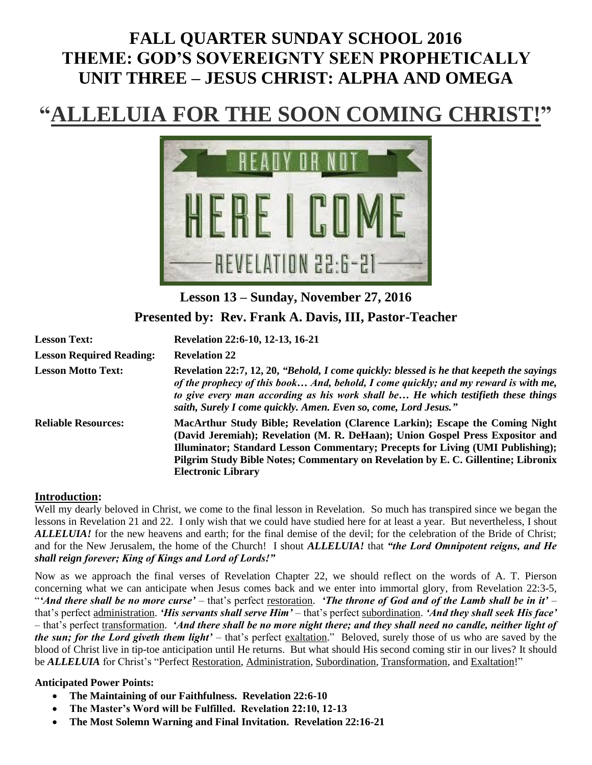## **FALL QUARTER SUNDAY SCHOOL 2016 THEME: GOD'S SOVEREIGNTY SEEN PROPHETICALLY UNIT THREE – JESUS CHRIST: ALPHA AND OMEGA**

# **ELUIA FOR THE SOON COMING CHRIS**



## **Lesson 13 – Sunday, November 27, 2016 Presented by: Rev. Frank A. Davis, III, Pastor-Teacher**

| <b>Lesson Text:</b>             | Revelation 22:6-10, 12-13, 16-21                                                                                                                                                                                                                                                                                                                                  |
|---------------------------------|-------------------------------------------------------------------------------------------------------------------------------------------------------------------------------------------------------------------------------------------------------------------------------------------------------------------------------------------------------------------|
| <b>Lesson Required Reading:</b> | <b>Revelation 22</b>                                                                                                                                                                                                                                                                                                                                              |
| <b>Lesson Motto Text:</b>       | Revelation 22:7, 12, 20, "Behold, I come quickly: blessed is he that keepeth the sayings<br>of the prophecy of this book And, behold, I come quickly; and my reward is with me,<br>to give every man according as his work shall be He which testifieth these things<br>saith, Surely I come quickly. Amen. Even so, come, Lord Jesus."                           |
| <b>Reliable Resources:</b>      | MacArthur Study Bible; Revelation (Clarence Larkin); Escape the Coming Night<br>(David Jeremiah); Revelation (M. R. DeHaan); Union Gospel Press Expositor and<br>Illuminator; Standard Lesson Commentary; Precepts for Living (UMI Publishing);<br>Pilgrim Study Bible Notes; Commentary on Revelation by E. C. Gillentine; Libronix<br><b>Electronic Library</b> |

#### **Introduction:**

Well my dearly beloved in Christ, we come to the final lesson in Revelation. So much has transpired since we began the lessons in Revelation 21 and 22. I only wish that we could have studied here for at least a year. But nevertheless, I shout *ALLELUIA!* for the new heavens and earth; for the final demise of the devil; for the celebration of the Bride of Christ; and for the New Jerusalem, the home of the Church! I shout *ALLELUIA!* that *"the Lord Omnipotent reigns, and He shall reign forever; King of Kings and Lord of Lords!"*

Now as we approach the final verses of Revelation Chapter 22, we should reflect on the words of A. T. Pierson concerning what we can anticipate when Jesus comes back and we enter into immortal glory, from Revelation 22:3-5, "*'And there shall be no more curse'* – that's perfect restoration. *'The throne of God and of the Lamb shall be in it'* – that's perfect administration. *'His servants shall serve Him'* – that's perfect subordination. *'And they shall seek His face'* – that's perfect transformation. *'And there shall be no more night there; and they shall need no candle, neither light of the sun; for the Lord giveth them light'* – that's perfect exaltation." Beloved, surely those of us who are saved by the blood of Christ live in tip-toe anticipation until He returns. But what should His second coming stir in our lives? It should be **ALLELUIA** for Christ's "Perfect Restoration, Administration, Subordination, Transformation, and Exaltation!"

#### **Anticipated Power Points:**

- **The Maintaining of our Faithfulness. Revelation 22:6-10**
- **The Master's Word will be Fulfilled. Revelation 22:10, 12-13**
- **The Most Solemn Warning and Final Invitation. Revelation 22:16-21**